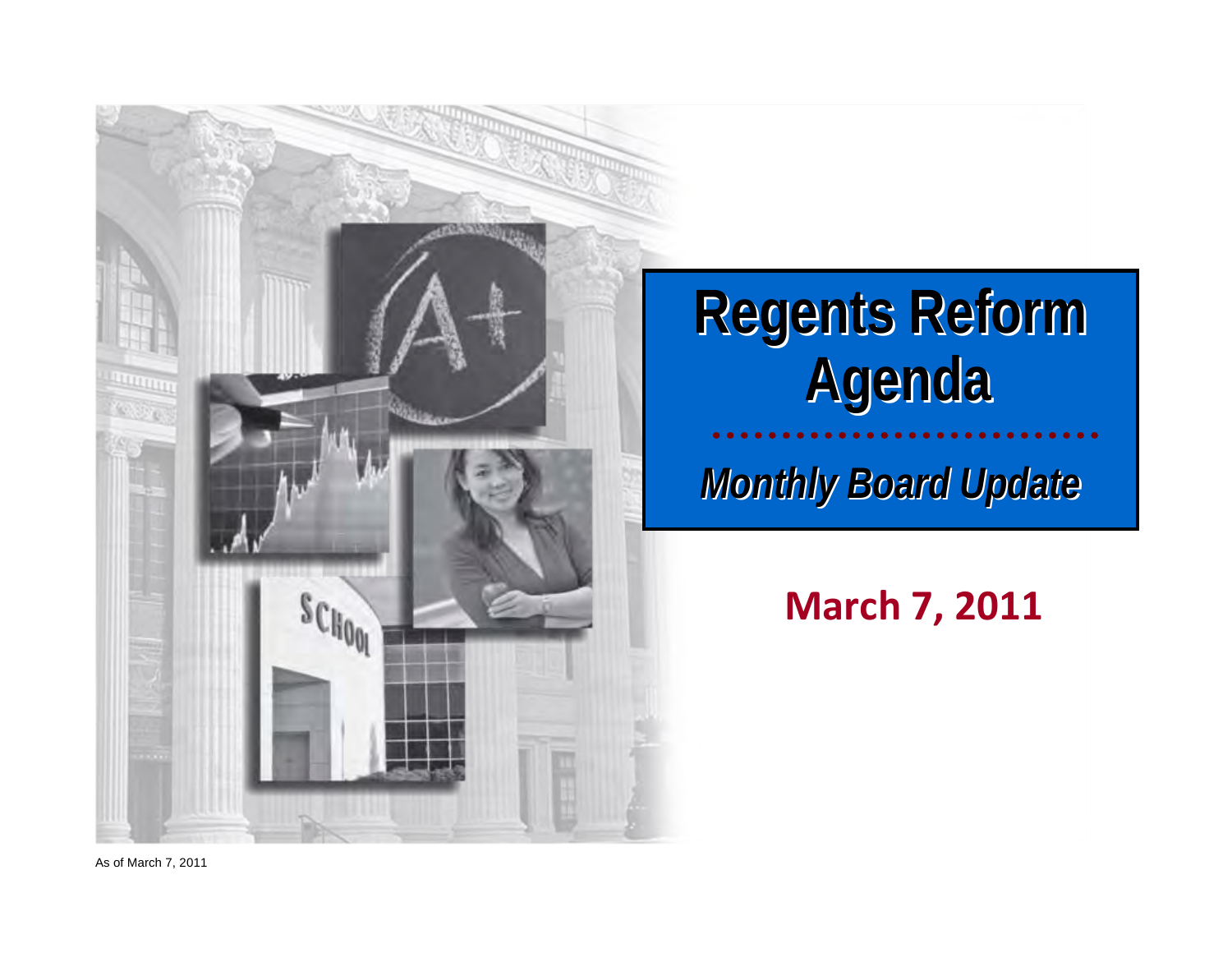

# **Regents Reform Regents Reform Agenda**

*Monthly Board Update Monthly Board Update*

**March 7, 2011**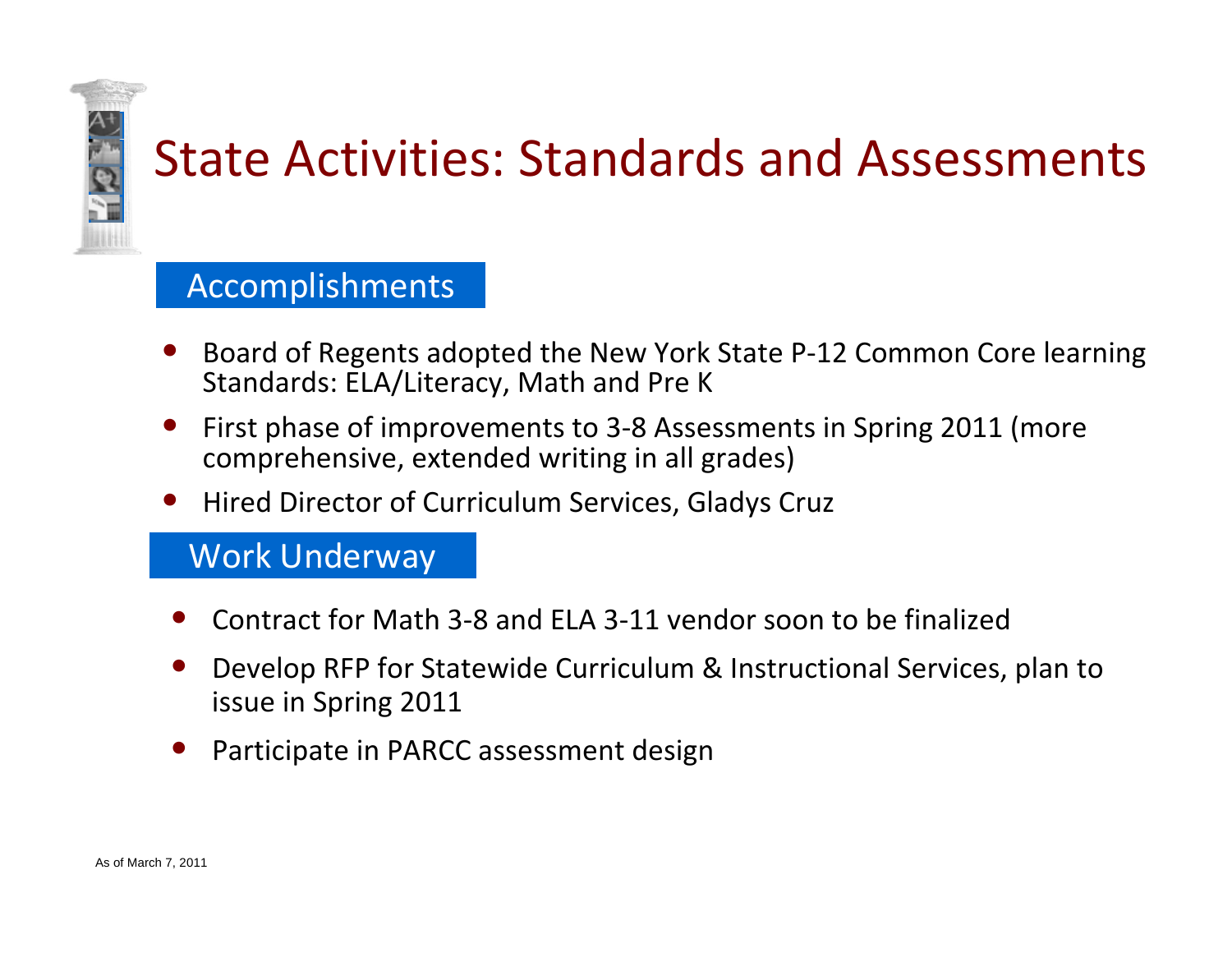### State Activities: Standards and Assessments

### Accomplishments

- •● Board of Regents adopted the New York State P-12 Common Core learning Standards: ELA/Literacy, Math and Pre K
- • First phase of improvements to 3‐8 Assessments in Spring 2011 (more comprehensive, extended writing in all grades)
- •• Hired Director of Curriculum Services, Gladys Cruz

- •● Contract for Math 3-8 and ELA 3-11 vendor soon to be finalized
- • Develop RFP for Statewide Curriculum & Instructional Services, plan to issue in Spring 2011
- •Participate in PARCC assessment design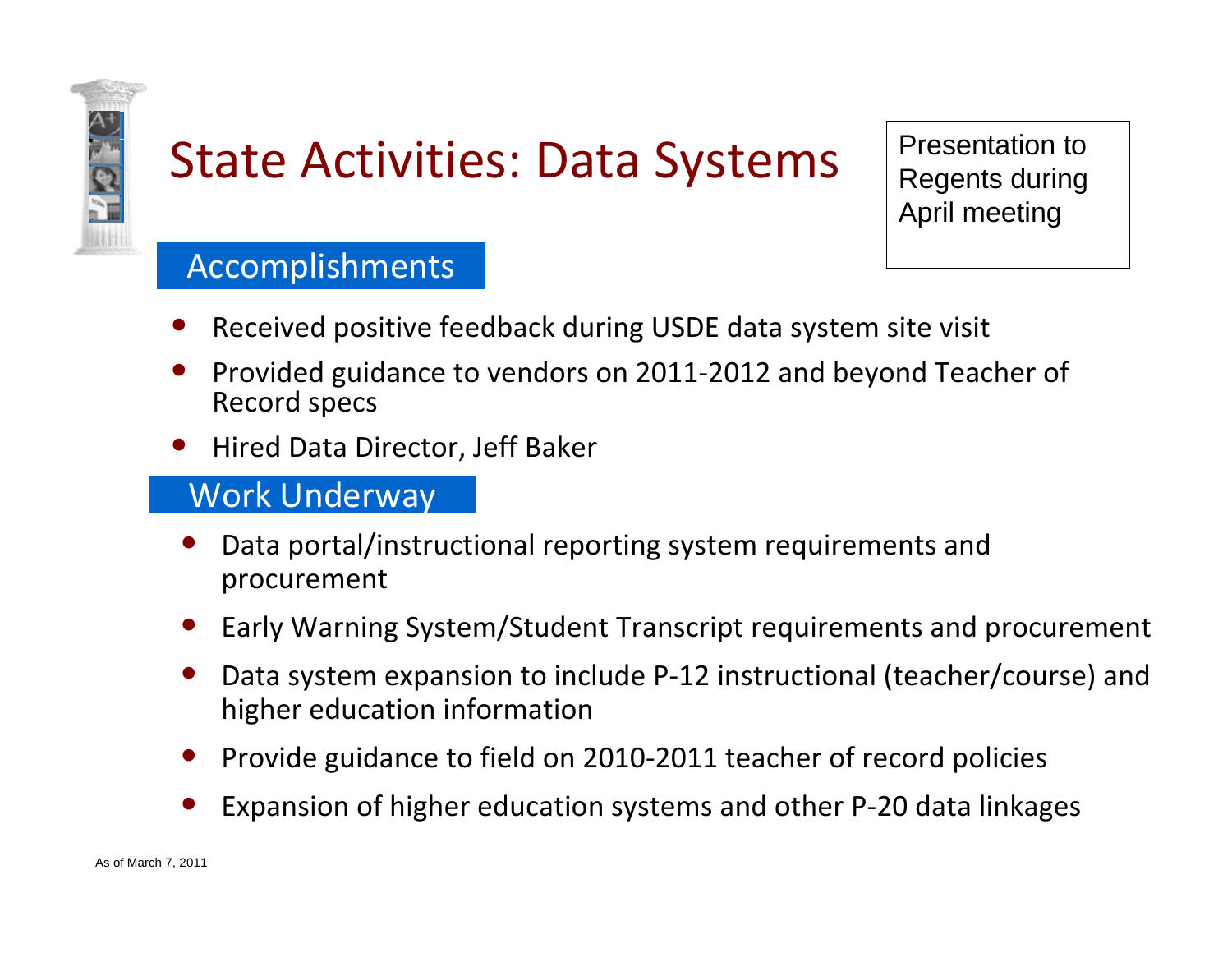

## State Activities: Data Systems  $\vert$  Presentation to  $\vert$  Regents during

April meeting

### Accomplishments

- •• Received positive feedback during USDE data system site visit
- •● Provided guidance to vendors on 2011-2012 and beyond Teacher of Record specs
- •• Hired Data Director, Jeff Baker

- • Data portal/instructional reporting system requirements and procurement
- •Early Warning System/Student Transcript requirements and procurement
- • Data system expansion to include P‐12 instructional (teacher/course) and higher education information
- •Provide guidance to field on 2010‐2011 teacher of record policies
- •Expansion of higher education systems and other P‐20 data linkages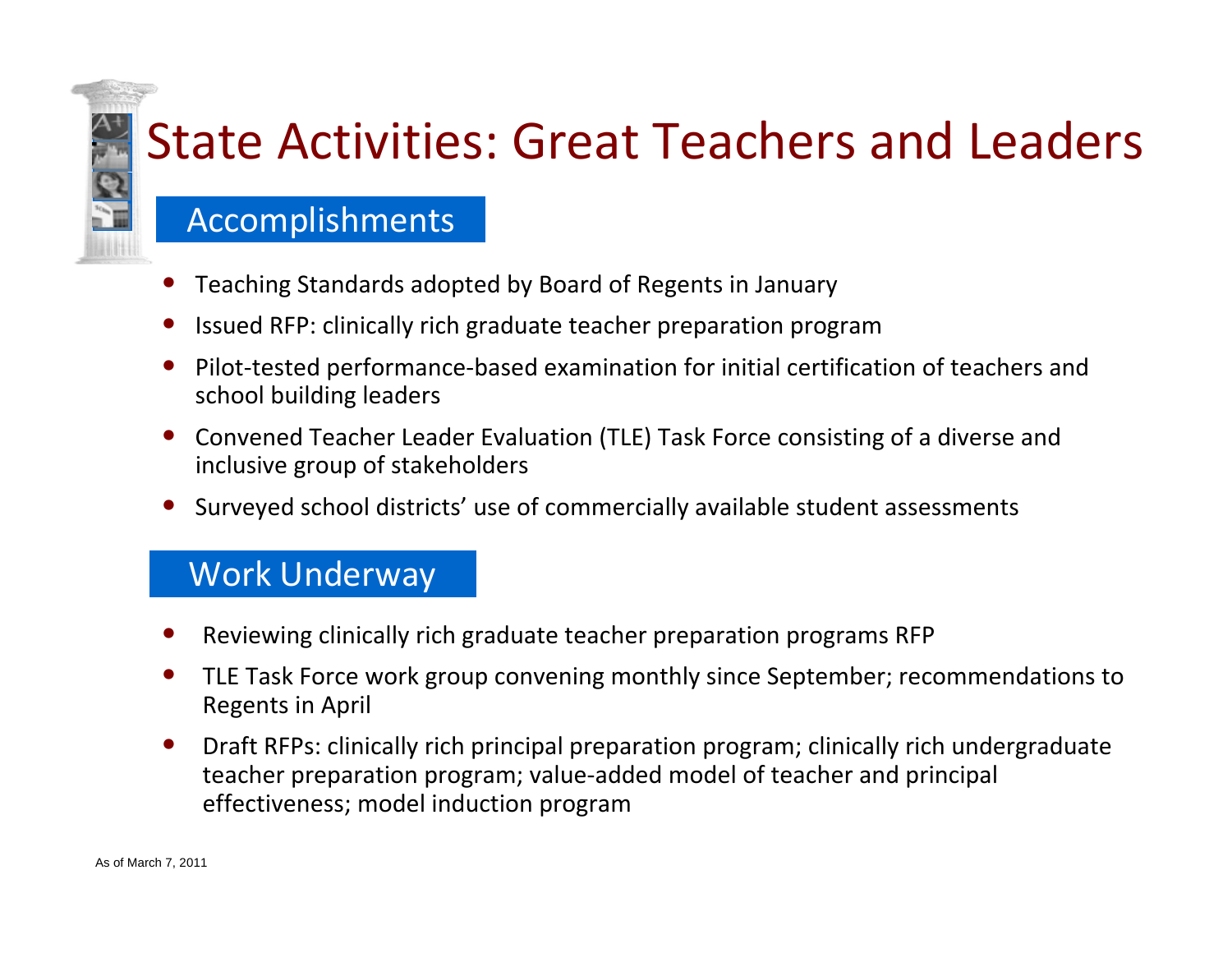# State Activities: Great Teachers and Leaders

#### Accomplishments

- •Teaching Standards adopted by Board of Regents in January
- •• Issued RFP: clinically rich graduate teacher preparation program
- •● Pilot-tested performance-based examination for initial certification of teachers and school building leaders
- • Convened Teacher Leader Evaluation (TLE) Task Force consisting of <sup>a</sup> diverse and inclusive group of stakeholders
- Surveyed school districts' use of commercially available student assessments

- •Reviewing clinically rich graduate teacher preparation programs RFP
- $\bullet$  TLE Task Force work group convening monthly since September; recommendations to Regents in April
- $\bullet$  Draft RFPs: clinically rich principal preparation program; clinically rich undergraduate teacher preparation program; value‐added model of teacher and principal effectiveness; model induction program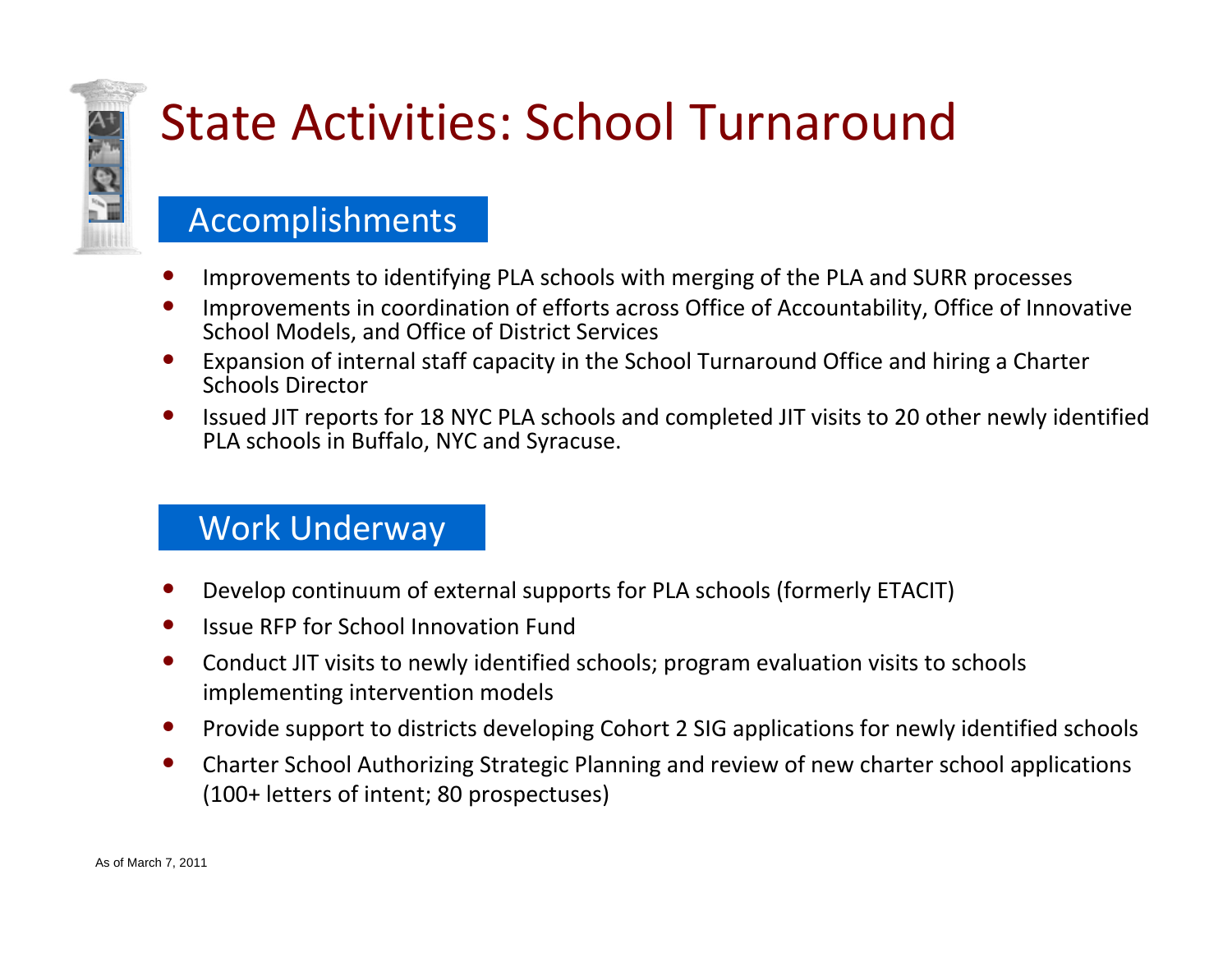

## State Activities: School Turnaround

#### Accomplishments

- •Improvements to identifying PLA schools with merging of the PLA and SURR processes
- • Improvements in coordination of efforts across Office of Accountability, Office of Innovative School Models, and Office of District Services
- $\bullet$  Expansion of internal staff capacity in the School Turnaround Office and hiring <sup>a</sup> Charter Schools Director
- $\bullet$ • Issued JIT reports for 18 NYC PLA schools and completed JIT visits to 20 other newly identified PLA schools in Buffalo, NYC and Syracuse.

- •Develop continuum of external supports for PLA schools (formerly ETACIT)
- $\bullet$ • Issue RFP for School Innovation Fund
- $\bullet$  Conduct JIT visits to newly identified schools; program evaluation visits to schools implementing intervention models
- $\bullet$ Provide support to districts developing Cohort 2 SIG applications for newly identified schools
- $\bullet$  Charter School Authorizing Strategic Planning and review of new charter school applications (100+ letters of intent; 80 prospectuses)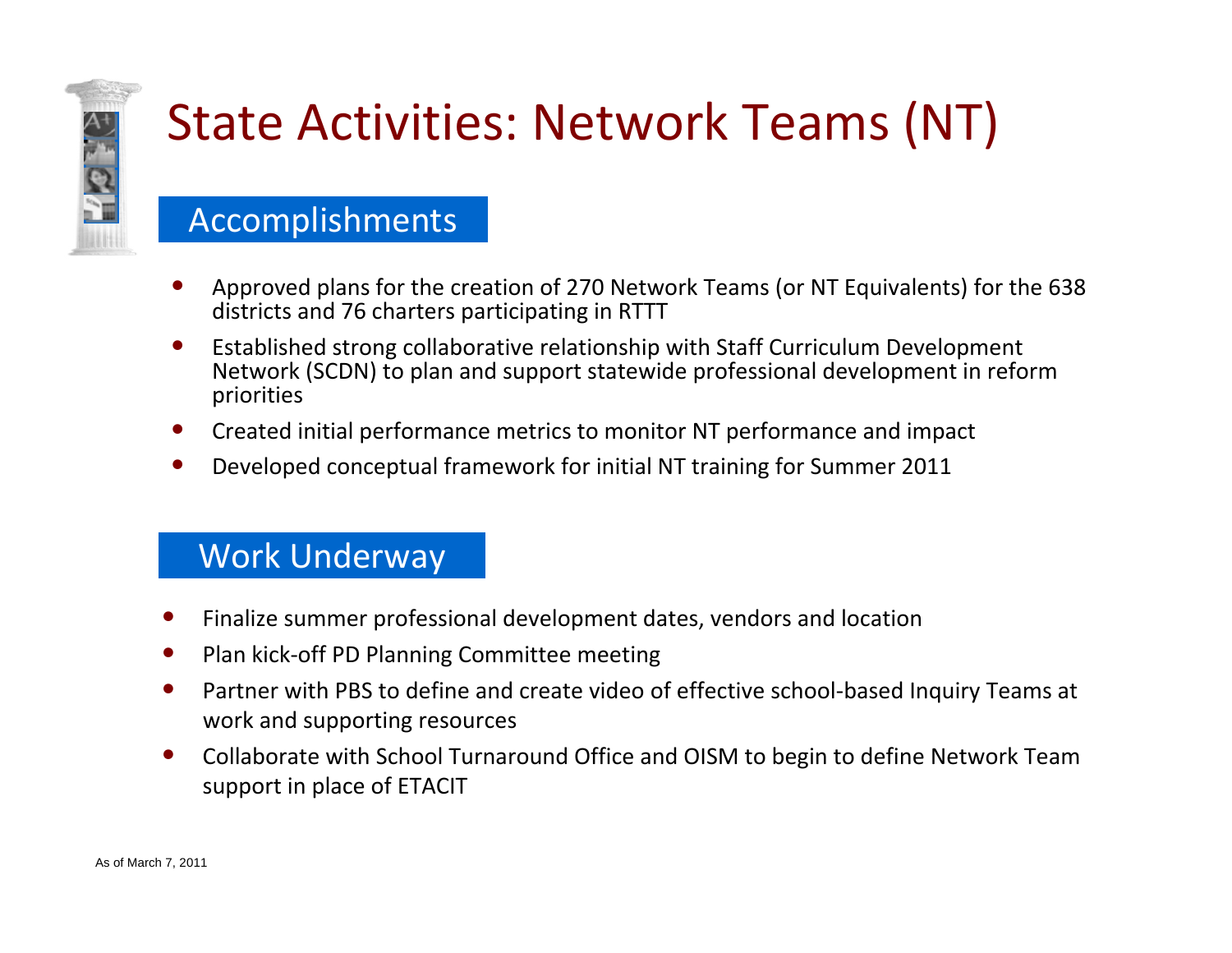

# State Activities: Network Teams (NT)

#### Accomplishments

- • Approved plans for the creation of 270 Network Teams (or NT Equivalents) for the 638 districts and 76 charters participating in RTTT
- $\bullet$  Established strong collaborative relationship with Staff Curriculum Development Network (SCDN) to plan and support statewide professional development in reform priorities
- •Created initial performance metrics to monitor NT performance and impact
- •Developed conceptual framework for initial NT training for Summer 2011

- •Finalize summer professional development dates, vendors and location
- $\bullet$ ● Plan kick-off PD Planning Committee meeting
- •● Partner with PBS to define and create video of effective school-based Inquiry Teams at work and supporting resources
- $\bullet$  Collaborate with School Turnaround Office and OISM to begin to define Network Team support in place of ETACIT